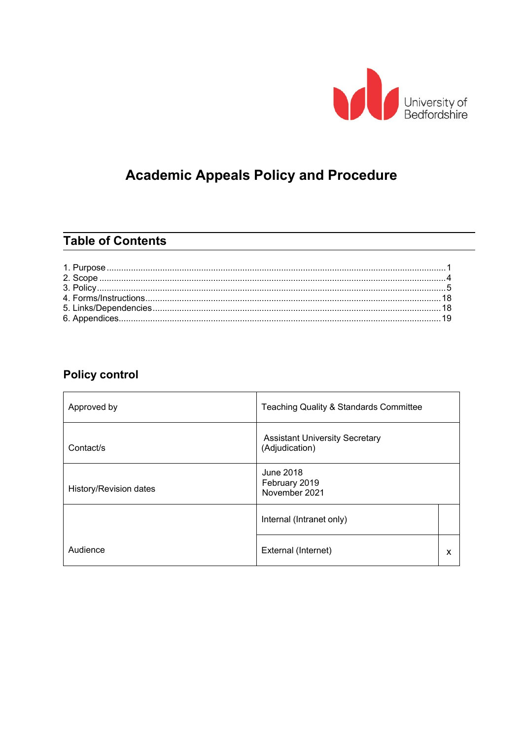

# **Academic Appeals Policy and Procedure**

## **Table of Contents**

## **Policy control**

| Approved by            | Teaching Quality & Standards Committee                  |  |
|------------------------|---------------------------------------------------------|--|
| Contact/s              | <b>Assistant University Secretary</b><br>(Adjudication) |  |
| History/Revision dates | June 2018<br>February 2019<br>November 2021             |  |
|                        | Internal (Intranet only)                                |  |
| Audience               | External (Internet)                                     |  |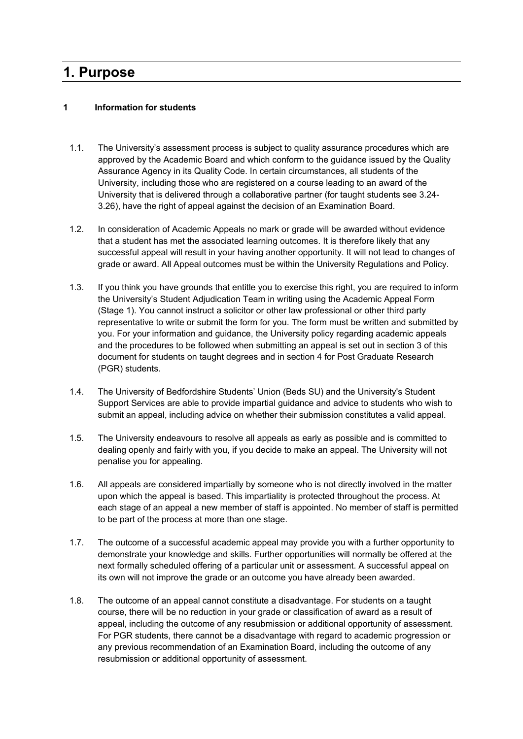## <span id="page-1-0"></span>**1. Purpose**

#### **1 Information for students**

- 1.1. The University's assessment process is subject to quality assurance procedures which are approved by the Academic Board and which conform to the guidance issued by the Quality Assurance Agency in its Quality Code. In certain circumstances, all students of the University, including those who are registered on a course leading to an award of the University that is delivered through a collaborative partner (for taught students see 3.24- 3.26), have the right of appeal against the decision of an Examination Board.
- 1.2. In consideration of Academic Appeals no mark or grade will be awarded without evidence that a student has met the associated learning outcomes. It is therefore likely that any successful appeal will result in your having another opportunity. It will not lead to changes of grade or award. All Appeal outcomes must be within the University Regulations and Policy.
- 1.3. If you think you have grounds that entitle you to exercise this right, you are required to inform the University's Student Adjudication Team in writing using the Academic Appeal Form (Stage 1). You cannot instruct a solicitor or other law professional or other third party representative to write or submit the form for you. The form must be written and submitted by you. For your information and guidance, the University policy regarding academic appeals and the procedures to be followed when submitting an appeal is set out in section 3 of this document for students on taught degrees and in section 4 for Post Graduate Research (PGR) students.
- 1.4. The [University of Bedfordshire Students' Union \(](http://www.bedssu.co.uk/)Beds SU) and the University's [Student](http://www.beds.ac.uk/student-experience2/studying-at-bedfordshire/student-support) [Support Services](http://www.beds.ac.uk/student-experience2/studying-at-bedfordshire/student-support) are able to provide impartial guidance and advice to students who wish to submit an appeal, including advice on whether their submission constitutes a valid appeal.
- 1.5. The University endeavours to resolve all appeals as early as possible and is committed to dealing openly and fairly with you, if you decide to make an appeal. The University will not penalise you for appealing.
- 1.6. All appeals are considered impartially by someone who is not directly involved in the matter upon which the appeal is based. This impartiality is protected throughout the process. At each stage of an appeal a new member of staff is appointed. No member of staff is permitted to be part of the process at more than one stage.
- 1.7. The outcome of a successful academic appeal may provide you with a further opportunity to demonstrate your knowledge and skills. Further opportunities will normally be offered at the next formally scheduled offering of a particular unit or assessment. A successful appeal on its own will not improve the grade or an outcome you have already been awarded.
- 1.8. The outcome of an appeal cannot constitute a disadvantage. For students on a taught course, there will be no reduction in your grade or classification of award as a result of appeal, including the outcome of any resubmission or additional opportunity of assessment. For PGR students, there cannot be a disadvantage with regard to academic progression or any previous recommendation of an Examination Board, including the outcome of any resubmission or additional opportunity of assessment.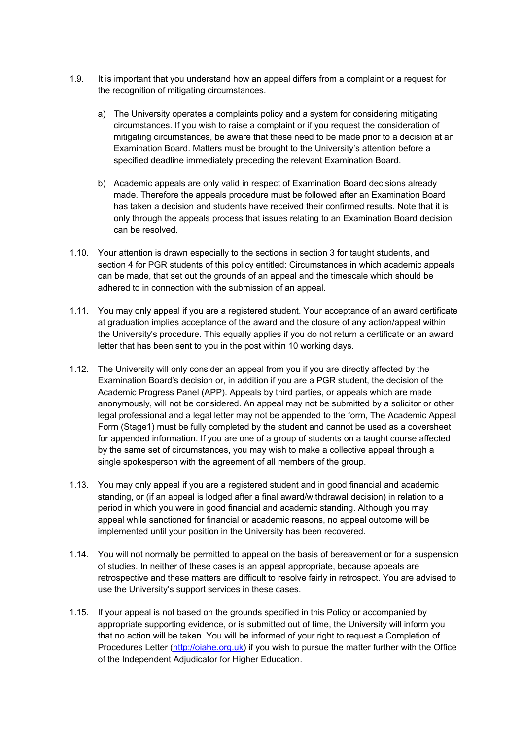- 1.9. It is important that you understand how an appeal differs from a complaint or a request for the recognition of mitigating circumstances.
	- a) The University operates a complaints policy and a system for considering mitigating circumstances. If you wish to raise a complaint or if you request the consideration of mitigating circumstances, be aware that these need to be made prior to a decision at an Examination Board. Matters must be brought to the University's attention before a specified deadline immediately preceding the relevant Examination Board.
	- b) Academic appeals are only valid in respect of Examination Board decisions already made. Therefore the appeals procedure must be followed after an Examination Board has taken a decision and students have received their confirmed results. Note that it is only through the appeals process that issues relating to an Examination Board decision can be resolved.
- 1.10. Your attention is drawn especially to the sections in section 3 for taught students, and section 4 for PGR students of this policy entitled: Circumstances in which academic appeals can be made, that set out the grounds of an appeal and the timescale which should be adhered to in connection with the submission of an appeal.
- 1.11. You may only appeal if you are a registered student. Your acceptance of an award certificate at graduation implies acceptance of the award and the closure of any action/appeal within the University's procedure. This equally applies if you do not return a certificate or an award letter that has been sent to you in the post within 10 working days.
- 1.12. The University will only consider an appeal from you if you are directly affected by the Examination Board's decision or, in addition if you are a PGR student, the decision of the Academic Progress Panel (APP). Appeals by third parties, or appeals which are made anonymously, will not be considered. An appeal may not be submitted by a solicitor or other legal professional and a legal letter may not be appended to the form, The Academic Appeal Form (Stage1) must be fully completed by the student and cannot be used as a coversheet for appended information. If you are one of a group of students on a taught course affected by the same set of circumstances, you may wish to make a collective appeal through a single spokesperson with the agreement of all members of the group.
- 1.13. You may only appeal if you are a registered student and in good financial and academic standing, or (if an appeal is lodged after a final award/withdrawal decision) in relation to a period in which you were in good financial and academic standing. Although you may appeal while sanctioned for financial or academic reasons, no appeal outcome will be implemented until your position in the University has been recovered.
- 1.14. You will not normally be permitted to appeal on the basis of bereavement or for a suspension of studies. In neither of these cases is an appeal appropriate, because appeals are retrospective and these matters are difficult to resolve fairly in retrospect. You are advised to use the University's support services in these cases.
- 1.15. If your appeal is not based on the grounds specified in this Policy or accompanied by appropriate supporting evidence, or is submitted out of time, the University will inform you that no action will be taken. You will be informed of your right to request a Completion of Procedures Letter [\(http://oiahe.org.uk\)](http://oiahe.org.uk/making-a-complaint-to-the-oia/how-to-make-a-complaint.aspx) if you wish to pursue the matter further with the Office of the Independent Adjudicator for Higher Education.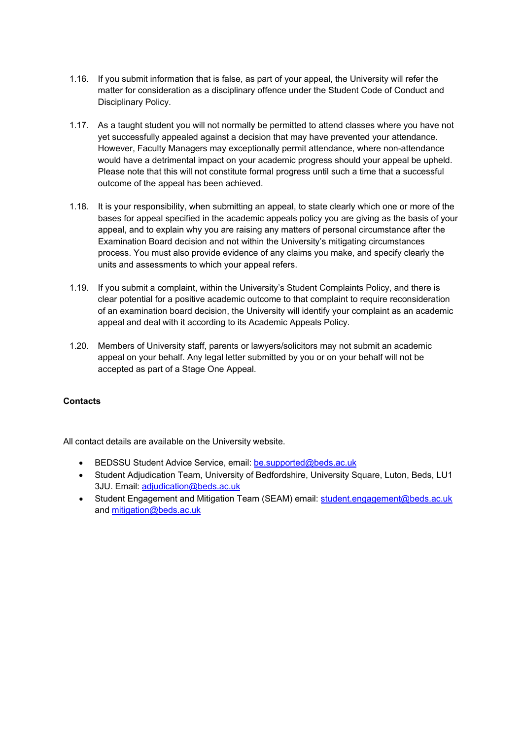- 1.16. If you submit information that is false, as part of your appeal, the University will refer the matter for consideration as a disciplinary offence under the [Student Code of Conduct and](http://www.beds.ac.uk/__data/assets/pdf_file/0009/459234/Revised-Student-Code-of-Conduct-and-Disciplinary.pdf) [Disciplinary](http://www.beds.ac.uk/__data/assets/pdf_file/0009/459234/Revised-Student-Code-of-Conduct-and-Disciplinary.pdf) Policy.
- 1.17. As a taught student you will not normally be permitted to attend classes where you have not yet successfully appealed against a decision that may have prevented your attendance. However, Faculty Managers may exceptionally permit attendance, where non-attendance would have a detrimental impact on your academic progress should your appeal be upheld. Please note that this will not constitute formal progress until such a time that a successful outcome of the appeal has been achieved.
- 1.18. It is your responsibility, when submitting an appeal, to state clearly which one or more of the bases for appeal specified in the academic appeals policy you are giving as the basis of your appeal, and to explain why you are raising any matters of personal circumstance after the Examination Board decision and not within the University's mitigating circumstances process. You must also provide evidence of any claims you make, and specify clearly the units and assessments to which your appeal refers.
- 1.19. If you submit a complaint, within the University's Student Complaints Policy, and there is clear potential for a positive academic outcome to that complaint to require reconsideration of an examination board decision, the University will identify your complaint as an academic appeal and deal with it according to its Academic Appeals Policy.
- 1.20. Members of University staff, parents or lawyers/solicitors may not submit an academic appeal on your behalf. Any legal letter submitted by you or on your behalf will not be accepted as part of a Stage One Appeal.

#### **Contacts**

All contact details are available on the University website.

- BEDSSU Student Advice Service, email: [be.supported@beds.ac.uk](mailto:be.supported@beds.ac.uk)
- Student Adjudication Team, University of Bedfordshire, University Square, Luton, Beds, LU1 3JU. Email: [adjudication@beds.ac.uk](mailto:academicappeal@beds.ac.uk)
- Student Engagement and Mitigation Team (SEAM) email: [student.engagement@beds.ac.uk](mailto:student.engagement@beds.ac.uk) and [mitigation@beds.ac.uk](mailto:mitigation@beds.ac.uk)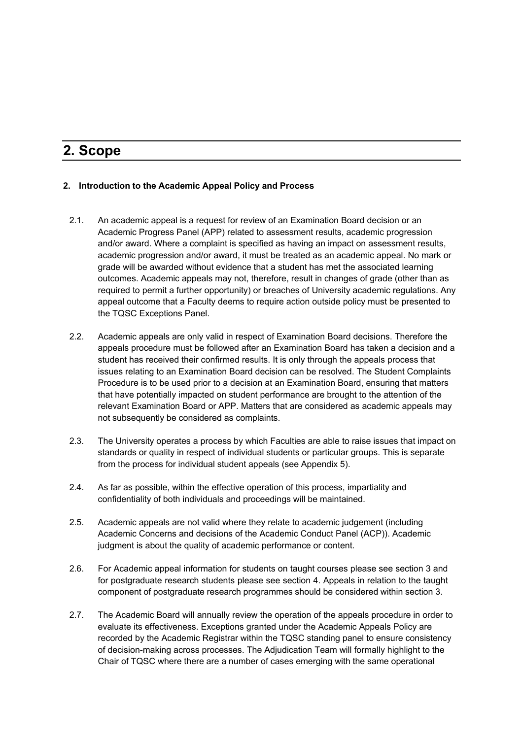## <span id="page-4-0"></span>**2. Scope**

#### **2. Introduction to the Academic Appeal Policy and Process**

- 2.1. An academic appeal is a request for review of an Examination Board decision or an Academic Progress Panel (APP) related to assessment results, academic progression and/or award. Where a complaint is specified as having an impact on assessment results, academic progression and/or award, it must be treated as an academic appeal. No mark or grade will be awarded without evidence that a student has met the associated learning outcomes. Academic appeals may not, therefore, result in changes of grade (other than as required to permit a further opportunity) or breaches of University academic regulations. Any appeal outcome that a Faculty deems to require action outside policy must be presented to the TQSC Exceptions Panel.
- 2.2. Academic appeals are only valid in respect of Examination Board decisions. Therefore the appeals procedure must be followed after an Examination Board has taken a decision and a student has received their confirmed results. It is only through the appeals process that issues relating to an Examination Board decision can be resolved. The Student Complaints Procedure is to be used prior to a decision at an Examination Board, ensuring that matters that have potentially impacted on student performance are brought to the attention of the relevant Examination Board or APP. Matters that are considered as academic appeals may not subsequently be considered as complaints.
- 2.3. The University operates a process by which Faculties are able to raise issues that impact on standards or quality in respect of individual students or particular groups. This is separate from the process for individual student appeals (see Appendix 5).
- 2.4. As far as possible, within the effective operation of this process, impartiality and confidentiality of both individuals and proceedings will be maintained.
- 2.5. Academic appeals are not valid where they relate to academic judgement (including Academic Concerns and decisions of the Academic Conduct Panel (ACP)). Academic judgment is about the quality of academic performance or content.
- 2.6. For Academic appeal information for students on taught courses please see section 3 and for postgraduate research students please see section 4. Appeals in relation to the taught component of postgraduate research programmes should be considered within section 3.
- 2.7. The Academic Board will annually review the operation of the appeals procedure in order to evaluate its effectiveness. Exceptions granted under the Academic Appeals Policy are recorded by the Academic Registrar within the TQSC standing panel to ensure consistency of decision-making across processes. The Adjudication Team will formally highlight to the Chair of TQSC where there are a number of cases emerging with the same operational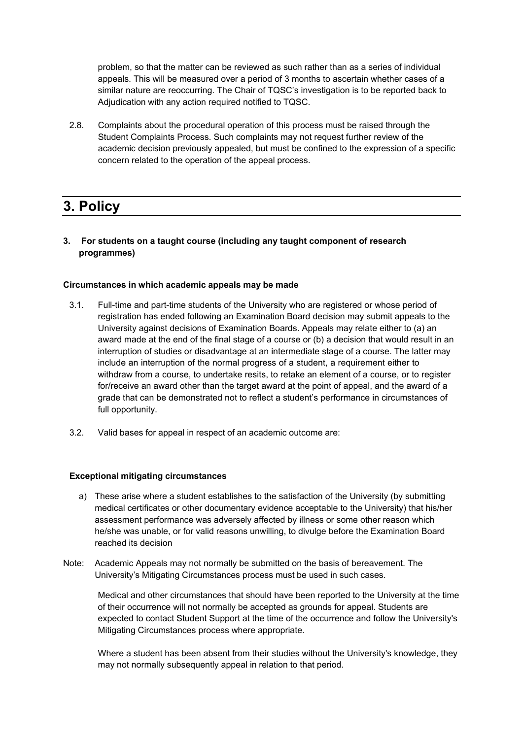problem, so that the matter can be reviewed as such rather than as a series of individual appeals. This will be measured over a period of 3 months to ascertain whether cases of a similar nature are reoccurring. The Chair of TQSC's investigation is to be reported back to Adjudication with any action required notified to TQSC.

2.8. Complaints about the procedural operation of this process must be raised through the Student Complaints Process. Such complaints may not request further review of the academic decision previously appealed, but must be confined to the expression of a specific concern related to the operation of the appeal process.

# <span id="page-5-0"></span>**3. Policy**

#### **3. For students on a taught course (including any taught component of research programmes)**

#### **Circumstances in which academic appeals may be made**

- 3.1. Full-time and part-time students of the University who are registered or whose period of registration has ended following an Examination Board decision may submit appeals to the University against decisions of Examination Boards. Appeals may relate either to (a) an award made at the end of the final stage of a course or (b) a decision that would result in an interruption of studies or disadvantage at an intermediate stage of a course. The latter may include an interruption of the normal progress of a student, a requirement either to withdraw from a course, to undertake resits, to retake an element of a course, or to register for/receive an award other than the target award at the point of appeal, and the award of a grade that can be demonstrated not to reflect a student's performance in circumstances of full opportunity.
- 3.2. Valid bases for appeal in respect of an academic outcome are:

#### **Exceptional mitigating circumstances**

- a) These arise where a student establishes to the satisfaction of the University (by submitting medical certificates or other documentary evidence acceptable to the University) that his/her assessment performance was adversely affected by illness or some other reason which he/she was unable, or for valid reasons unwilling, to divulge before the Examination Board reached its decision
- Note: Academic Appeals may not normally be submitted on the basis of bereavement. The University's Mitigating Circumstances process must be used in such cases.

Medical and other circumstances that should have been reported to the University at the time of their occurrence will not normally be accepted as grounds for appeal. Students are expected to contact Student Support at the time of the occurrence and follow the University's Mitigating [Circumstances p](http://www.beds.ac.uk/student-experience2/studying-at-bedfordshire/student-support/cant-hand-in-a-piece-of-work-or-sit-an-exam/ug-and-pgt)rocess where appropriate.

Where a student has been absent from their studies without the University's knowledge, they may not normally subsequently appeal in relation to that period.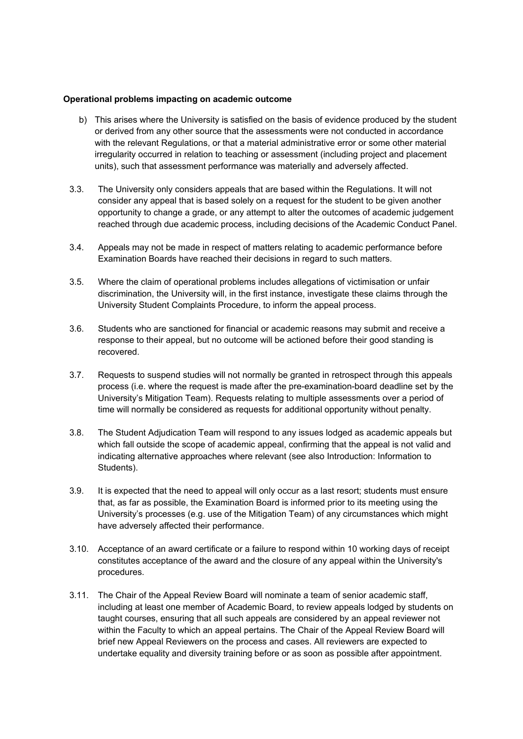#### **Operational problems impacting on academic outcome**

- b) This arises where the University is satisfied on the basis of evidence produced by the student or derived from any other source that the assessments were not conducted in accordance with the relevant Regulations, or that a material administrative error or some other material irregularity occurred in relation to teaching or assessment (including project and placement units), such that assessment performance was materially and adversely affected.
- 3.3. The University only considers appeals that are based within the Regulations. It will not consider any appeal that is based solely on a request for the student to be given another opportunity to change a grade, or any attempt to alter the outcomes of academic judgement reached through due academic process, including decisions of the Academic Conduct Panel.
- 3.4. Appeals may not be made in respect of matters relating to academic performance before Examination Boards have reached their decisions in regard to such matters.
- 3.5. Where the claim of operational problems includes allegations of victimisation or unfair discrimination, the University will, in the first instance, investigate these claims through the University Student Complaints Procedure, to inform the appeal process.
- 3.6. Students who are sanctioned for financial or academic reasons may submit and receive a response to their appeal, but no outcome will be actioned before their good standing is recovered.
- 3.7. Requests to suspend studies will not normally be granted in retrospect through this appeals process (i.e. where the request is made after the pre-examination-board deadline set by the University's Mitigation Team). Requests relating to multiple assessments over a period of time will normally be considered as requests for additional opportunity without penalty.
- 3.8. The Student Adjudication Team will respond to any issues lodged as academic appeals but which fall outside the scope of academic appeal, confirming that the appeal is not valid and indicating alternative approaches where relevant (see also Introduction: Information to Students).
- 3.9. It is expected that the need to appeal will only occur as a last resort; students must ensure that, as far as possible, the Examination Board is informed prior to its meeting using the University's processes (e.g. use of the Mitigation Team) of any circumstances which might have adversely affected their performance.
- 3.10. Acceptance of an award certificate or a failure to respond within 10 working days of receipt constitutes acceptance of the award and the closure of any appeal within the University's procedures.
- 3.11. The Chair of the Appeal Review Board will nominate a team of senior academic staff, including at least one member of Academic Board, to review appeals lodged by students on taught courses, ensuring that all such appeals are considered by an appeal reviewer not within the Faculty to which an appeal pertains. The Chair of the Appeal Review Board will brief new Appeal Reviewers on the process and cases. All reviewers are expected to undertake equality and diversity training before or as soon as possible after appointment.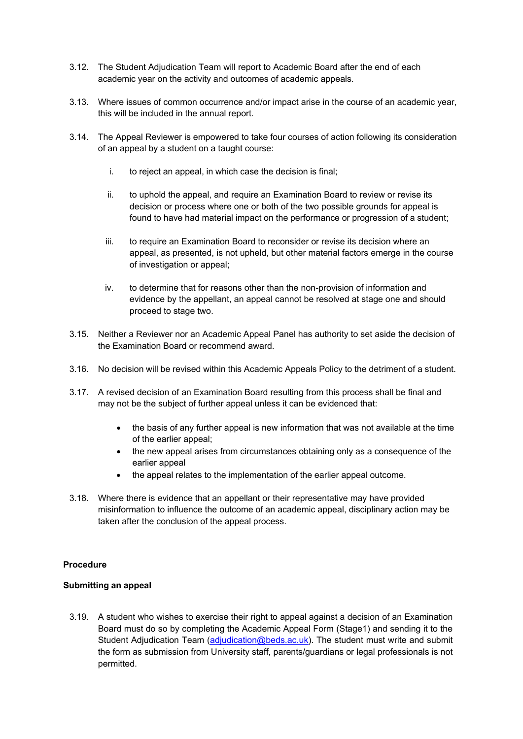- 3.12. The Student Adjudication Team will report to Academic Board after the end of each academic year on the activity and outcomes of academic appeals.
- 3.13. Where issues of common occurrence and/or impact arise in the course of an academic year, this will be included in the annual report.
- 3.14. The Appeal Reviewer is empowered to take four courses of action following its consideration of an appeal by a student on a taught course:
	- i. to reject an appeal, in which case the decision is final;
	- ii. to uphold the appeal, and require an Examination Board to review or revise its decision or process where one or both of the two possible grounds for appeal is found to have had material impact on the performance or progression of a student;
	- iii. to require an Examination Board to reconsider or revise its decision where an appeal, as presented, is not upheld, but other material factors emerge in the course of investigation or appeal;
	- iv. to determine that for reasons other than the non-provision of information and evidence by the appellant, an appeal cannot be resolved at stage one and should proceed to stage two.
- 3.15. Neither a Reviewer nor an Academic Appeal Panel has authority to set aside the decision of the Examination Board or recommend award.
- 3.16. No decision will be revised within this Academic Appeals Policy to the detriment of a student.
- 3.17. A revised decision of an Examination Board resulting from this process shall be final and may not be the subject of further appeal unless it can be evidenced that:
	- the basis of any further appeal is new information that was not available at the time of the earlier appeal;
	- the new appeal arises from circumstances obtaining only as a consequence of the earlier appeal
	- the appeal relates to the implementation of the earlier appeal outcome.
- 3.18. Where there is evidence that an appellant or their representative may have provided misinformation to influence the outcome of an academic appeal, disciplinary action may be taken after the conclusion of the appeal process.

#### **Procedure**

#### **Submitting an appeal**

3.19. A student who wishes to exercise their right to appeal against a decision of an Examination Board must do so by completing the Academic Appeal Form (Stage1) and sending it to the Student Adjudication Team (adjudication@beds.ac.uk). The student must write and submit the form as submission from University staff, parents/guardians or legal professionals is not permitted.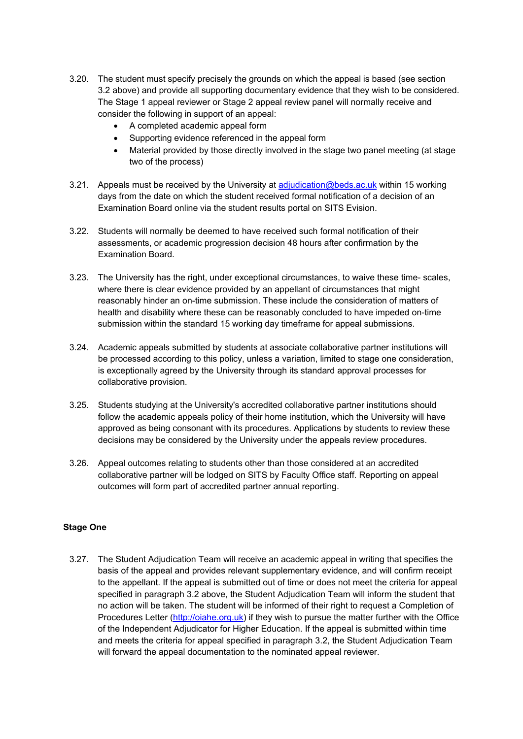- 3.20. The student must specify precisely the grounds on which the appeal is based (see section 3.2 above) and provide all supporting documentary evidence that they wish to be considered. The Stage 1 appeal reviewer or Stage 2 appeal review panel will normally receive and consider the following in support of an appeal:
	- A completed academic appeal form
	- Supporting evidence referenced in the appeal form
	- Material provided by those directly involved in the stage two panel meeting (at stage two of the process)
- 3.21. Appeals must be received by the University at [adjudication@beds.ac.uk](mailto:adjudication@beds.ac.uk) within 15 working days from the date on which the student received formal notification of a decision of an Examination Board online via the student results portal on SITS Evision.
- 3.22. Students will normally be deemed to have received such formal notification of their assessments, or academic progression decision 48 hours after confirmation by the Examination Board.
- 3.23. The University has the right, under exceptional circumstances, to waive these time- scales, where there is clear evidence provided by an appellant of circumstances that might reasonably hinder an on-time submission. These include the consideration of matters of health and disability where these can be reasonably concluded to have impeded on-time submission within the standard 15 working day timeframe for appeal submissions.
- 3.24. Academic appeals submitted by students at associate collaborative partner institutions will be processed according to this policy, unless a variation, limited to stage one consideration, is exceptionally agreed by the University through its standard approval processes for collaborative provision.
- 3.25. Students studying at the University's accredited collaborative partner institutions should follow the academic appeals policy of their home institution, which the University will have approved as being consonant with its procedures. Applications by students to review these decisions may be considered by the University under the appeals review procedures.
- 3.26. Appeal outcomes relating to students other than those considered at an accredited collaborative partner will be lodged on SITS by Faculty Office staff. Reporting on appeal outcomes will form part of accredited partner annual reporting.

#### **Stage One**

3.27. The Student Adjudication Team will receive an academic appeal in writing that specifies the basis of the appeal and provides relevant supplementary evidence, and will confirm receipt to the appellant. If the appeal is submitted out of time or does not meet the criteria for appeal specified in paragraph 3.2 above, the Student Adjudication Team will inform the student that no action will be taken. The student will be informed of their right to request a Completion of Procedures Letter [\(http://oiahe.org.uk\)](http://oiahe.org.uk/making-a-complaint-to-the-oia/how-to-make-a-complaint.aspx) if they wish to pursue the matter further with the Office of the Independent Adjudicator for Higher Education. If the appeal is submitted within time and meets the criteria for appeal specified in paragraph 3.2, the Student Adjudication Team will forward the appeal documentation to the nominated appeal reviewer.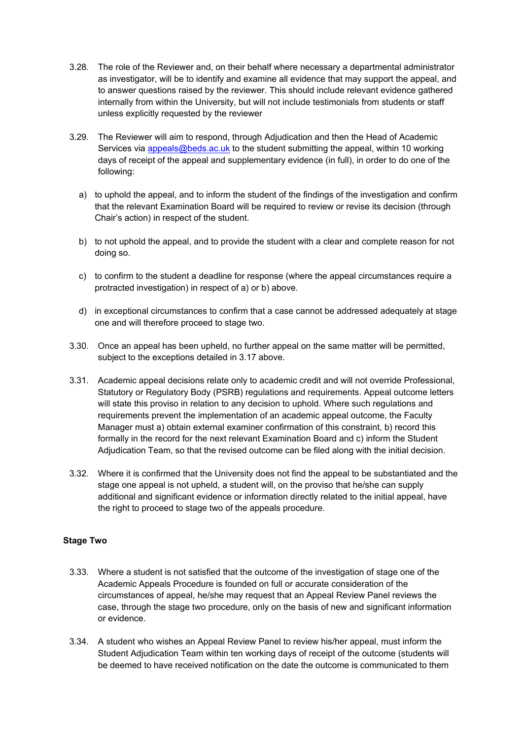- 3.28. The role of the Reviewer and, on their behalf where necessary a departmental administrator as investigator, will be to identify and examine all evidence that may support the appeal, and to answer questions raised by the reviewer. This should include relevant evidence gathered internally from within the University, but will not include testimonials from students or staff unless explicitly requested by the reviewer
- 3.29. The Reviewer will aim to respond, through Adjudication and then the Head of Academic Services via [appeals@beds.ac.uk](mailto:appeals@beds.ac.uk) to the student submitting the appeal, within 10 working days of receipt of the appeal and supplementary evidence (in full), in order to do one of the following:
	- a) to uphold the appeal, and to inform the student of the findings of the investigation and confirm that the relevant Examination Board will be required to review or revise its decision (through Chair's action) in respect of the student.
	- b) to not uphold the appeal, and to provide the student with a clear and complete reason for not doing so.
	- c) to confirm to the student a deadline for response (where the appeal circumstances require a protracted investigation) in respect of a) or b) above.
	- d) in exceptional circumstances to confirm that a case cannot be addressed adequately at stage one and will therefore proceed to stage two.
- 3.30. Once an appeal has been upheld, no further appeal on the same matter will be permitted, subject to the exceptions detailed in 3.17 above.
- 3.31. Academic appeal decisions relate only to academic credit and will not override Professional, Statutory or Regulatory Body (PSRB) regulations and requirements. Appeal outcome letters will state this proviso in relation to any decision to uphold. Where such regulations and requirements prevent the implementation of an academic appeal outcome, the Faculty Manager must a) obtain external examiner confirmation of this constraint, b) record this formally in the record for the next relevant Examination Board and c) inform the Student Adjudication Team, so that the revised outcome can be filed along with the initial decision.
- 3.32. Where it is confirmed that the University does not find the appeal to be substantiated and the stage one appeal is not upheld, a student will, on the proviso that he/she can supply additional and significant evidence or information directly related to the initial appeal, have the right to proceed to stage two of the appeals procedure.

#### **Stage Two**

- 3.33. Where a student is not satisfied that the outcome of the investigation of stage one of the Academic Appeals Procedure is founded on full or accurate consideration of the circumstances of appeal, he/she may request that an Appeal Review Panel reviews the case, through the stage two procedure, only on the basis of new and significant information or evidence.
- 3.34. A student who wishes an Appeal Review Panel to review his/her appeal, must inform the Student Adjudication Team within ten working days of receipt of the outcome (students will be deemed to have received notification on the date the outcome is communicated to them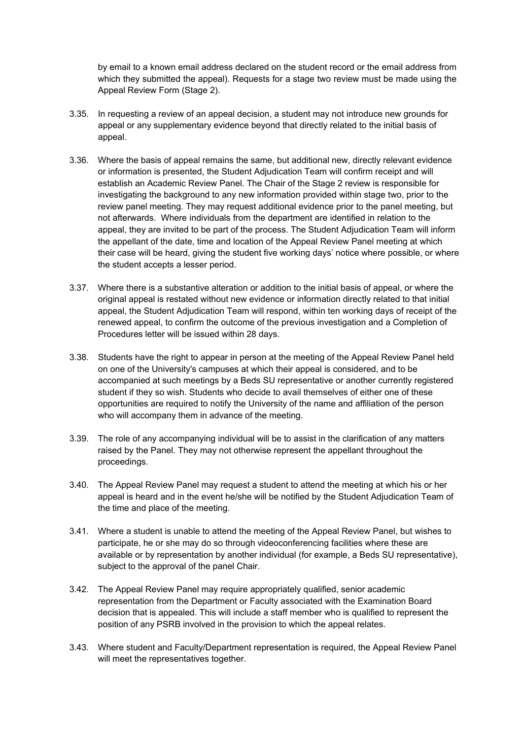by email to a known email address declared on the student record or the email address from which they submitted the appeal). Requests for a stage two review must be made using the Appeal Review Form (Stage 2).

- 3.35. In requesting a review of an appeal decision, a student may not introduce new grounds for appeal or any supplementary evidence beyond that directly related to the initial basis of appeal.
- 3.36. Where the basis of appeal remains the same, but additional new, directly relevant evidence or information is presented, the Student Adjudication Team will confirm receipt and will establish an Academic Review Panel. The Chair of the Stage 2 review is responsible for investigating the background to any new information provided within stage two, prior to the review panel meeting. They may request additional evidence prior to the panel meeting, but not afterwards. Where individuals from the department are identified in relation to the appeal, they are invited to be part of the process. The Student Adjudication Team will inform the appellant of the date, time and location of the Appeal Review Panel meeting at which their case will be heard, giving the student five working days' notice where possible, or where the student accepts a lesser period.
- 3.37. Where there is a substantive alteration or addition to the initial basis of appeal, or where the original appeal is restated without new evidence or information directly related to that initial appeal, the Student Adjudication Team will respond, within ten working days of receipt of the renewed appeal, to confirm the outcome of the previous investigation and a Completion of Procedures letter will be issued within 28 days.
- 3.38. Students have the right to appear in person at the meeting of the Appeal Review Panel held on one of the University's campuses at which their appeal is considered, and to be accompanied at such meetings by a Beds SU representative or another currently registered student if they so wish. Students who decide to avail themselves of either one of these opportunities are required to notify the University of the name and affiliation of the person who will accompany them in advance of the meeting.
- 3.39. The role of any accompanying individual will be to assist in the clarification of any matters raised by the Panel. They may not otherwise represent the appellant throughout the proceedings.
- 3.40. The Appeal Review Panel may request a student to attend the meeting at which his or her appeal is heard and in the event he/she will be notified by the Student Adjudication Team of the time and place of the meeting.
- 3.41. Where a student is unable to attend the meeting of the Appeal Review Panel, but wishes to participate, he or she may do so through videoconferencing facilities where these are available or by representation by another individual (for example, a Beds SU representative), subject to the approval of the panel Chair.
- 3.42. The Appeal Review Panel may require appropriately qualified, senior academic representation from the Department or Faculty associated with the Examination Board decision that is appealed. This will include a staff member who is qualified to represent the position of any PSRB involved in the provision to which the appeal relates.
- 3.43. Where student and Faculty/Department representation is required, the Appeal Review Panel will meet the representatives together.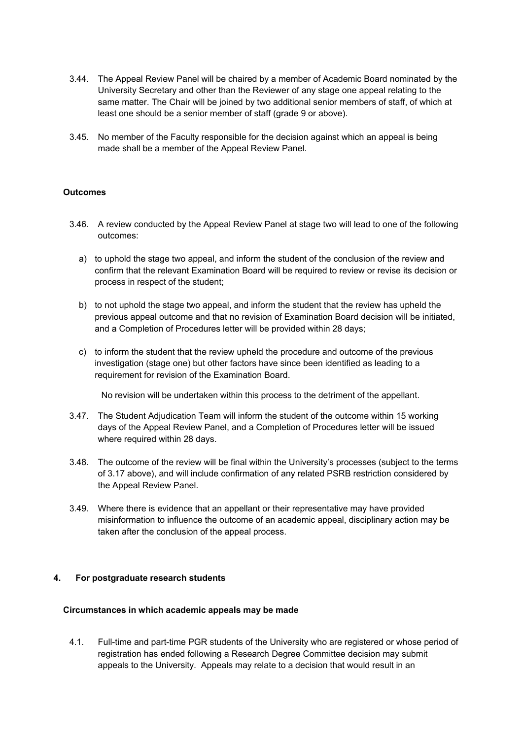- 3.44. The Appeal Review Panel will be chaired by a member of Academic Board nominated by the University Secretary and other than the Reviewer of any stage one appeal relating to the same matter. The Chair will be joined by two additional senior members of staff, of which at least one should be a senior member of staff (grade 9 or above).
- 3.45. No member of the Faculty responsible for the decision against which an appeal is being made shall be a member of the Appeal Review Panel.

#### **Outcomes**

- 3.46. A review conducted by the Appeal Review Panel at stage two will lead to one of the following outcomes:
	- a) to uphold the stage two appeal, and inform the student of the conclusion of the review and confirm that the relevant Examination Board will be required to review or revise its decision or process in respect of the student;
	- b) to not uphold the stage two appeal, and inform the student that the review has upheld the previous appeal outcome and that no revision of Examination Board decision will be initiated, and a Completion of Procedures letter will be provided within 28 days;
	- c) to inform the student that the review upheld the procedure and outcome of the previous investigation (stage one) but other factors have since been identified as leading to a requirement for revision of the Examination Board.

No revision will be undertaken within this process to the detriment of the appellant.

- 3.47. The Student Adjudication Team will inform the student of the outcome within 15 working days of the Appeal Review Panel, and a Completion of Procedures letter will be issued where required within 28 days.
- 3.48. The outcome of the review will be final within the University's processes (subject to the terms of 3.17 above), and will include confirmation of any related PSRB restriction considered by the Appeal Review Panel.
- 3.49. Where there is evidence that an appellant or their representative may have provided misinformation to influence the outcome of an academic appeal, disciplinary action may be taken after the conclusion of the appeal process.

#### **4. For postgraduate research students**

#### **Circumstances in which academic appeals may be made**

4.1. Full-time and part-time PGR students of the University who are registered or whose period of registration has ended following a Research Degree Committee decision may submit appeals to the University. Appeals may relate to a decision that would result in an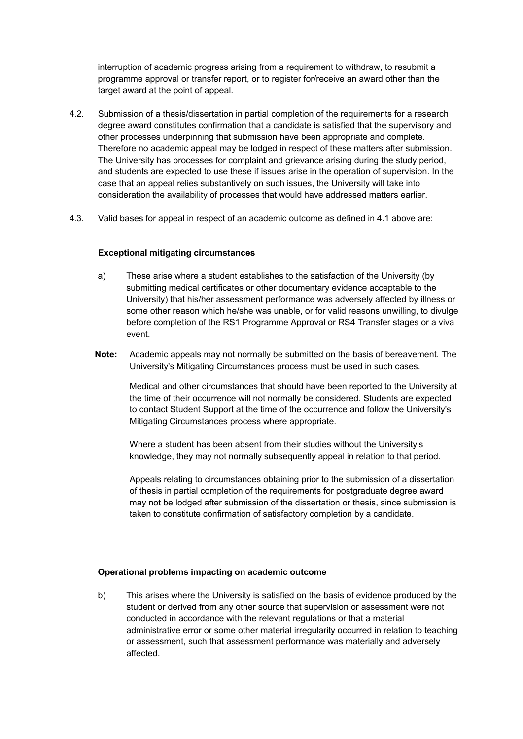interruption of academic progress arising from a requirement to withdraw, to resubmit a programme approval or transfer report, or to register for/receive an award other than the target award at the point of appeal.

- 4.2. Submission of a thesis/dissertation in partial completion of the requirements for a research degree award constitutes confirmation that a candidate is satisfied that the supervisory and other processes underpinning that submission have been appropriate and complete. Therefore no academic appeal may be lodged in respect of these matters after submission. The University has processes for complaint and grievance arising during the study period, and students are expected to use these if issues arise in the operation of supervision. In the case that an appeal relies substantively on such issues, the University will take into consideration the availability of processes that would have addressed matters earlier.
- 4.3. Valid bases for appeal in respect of an academic outcome as defined in 4.1 above are:

#### **Exceptional mitigating circumstances**

- a) These arise where a student establishes to the satisfaction of the University (by submitting medical certificates or other documentary evidence acceptable to the University) that his/her assessment performance was adversely affected by illness or some other reason which he/she was unable, or for valid reasons unwilling, to divulge before completion of the RS1 Programme Approval or RS4 Transfer stages or a viva event.
- **Note:** Academic appeals may not normally be submitted on the basis of bereavement. The University's Mitigating Circumstances process must be used in such cases.

Medical and other circumstances that should have been reported to the University at the time of their occurrence will not normally be considered. Students are expected to contact Student Support at the time of the occurrence and follow the University's Mitigating Circumstances process where appropriate.

Where a student has been absent from their studies without the University's knowledge, they may not normally subsequently appeal in relation to that period.

Appeals relating to circumstances obtaining prior to the submission of a dissertation of thesis in partial completion of the requirements for postgraduate degree award may not be lodged after submission of the dissertation or thesis, since submission is taken to constitute confirmation of satisfactory completion by a candidate.

#### **Operational problems impacting on academic outcome**

b) This arises where the University is satisfied on the basis of evidence produced by the student or derived from any other source that supervision or assessment were not conducted in accordance with the relevant regulations or that a material administrative error or some other material irregularity occurred in relation to teaching or assessment, such that assessment performance was materially and adversely affected.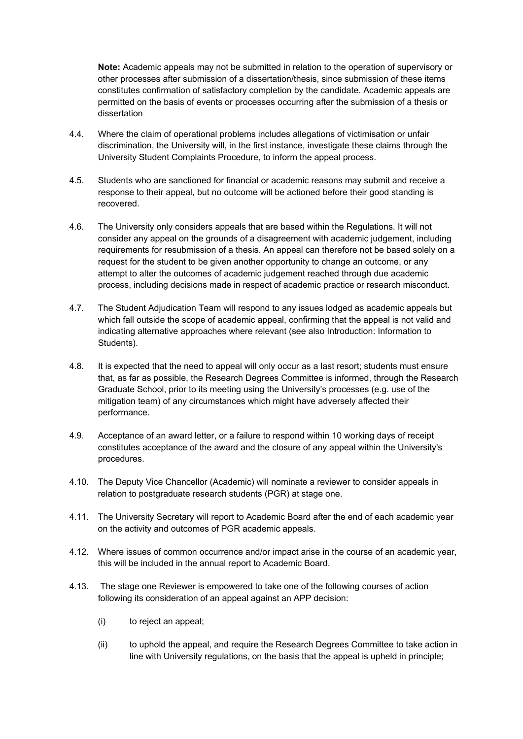**Note:** Academic appeals may not be submitted in relation to the operation of supervisory or other processes after submission of a dissertation/thesis, since submission of these items constitutes confirmation of satisfactory completion by the candidate. Academic appeals are permitted on the basis of events or processes occurring after the submission of a thesis or dissertation

- 4.4. Where the claim of operational problems includes allegations of victimisation or unfair discrimination, the University will, in the first instance, investigate these claims through the University Student Complaints Procedure, to inform the appeal process.
- 4.5. Students who are sanctioned for financial or academic reasons may submit and receive a response to their appeal, but no outcome will be actioned before their good standing is recovered.
- 4.6. The University only considers appeals that are based within the Regulations. It will not consider any appeal on the grounds of a disagreement with academic judgement, including requirements for resubmission of a thesis. An appeal can therefore not be based solely on a request for the student to be given another opportunity to change an outcome, or any attempt to alter the outcomes of academic judgement reached through due academic process, including decisions made in respect of academic practice or research misconduct.
- 4.7. The Student Adjudication Team will respond to any issues lodged as academic appeals but which fall outside the scope of academic appeal, confirming that the appeal is not valid and indicating alternative approaches where relevant (see also Introduction: Information to Students).
- 4.8. It is expected that the need to appeal will only occur as a last resort; students must ensure that, as far as possible, the Research Degrees Committee is informed, through the Research Graduate School, prior to its meeting using the University's processes (e.g. use of the mitigation team) of any circumstances which might have adversely affected their performance.
- 4.9. Acceptance of an award letter, or a failure to respond within 10 working days of receipt constitutes acceptance of the award and the closure of any appeal within the University's procedures.
- 4.10. The Deputy Vice Chancellor (Academic) will nominate a reviewer to consider appeals in relation to postgraduate research students (PGR) at stage one.
- 4.11. The University Secretary will report to Academic Board after the end of each academic year on the activity and outcomes of PGR academic appeals.
- 4.12. Where issues of common occurrence and/or impact arise in the course of an academic year, this will be included in the annual report to Academic Board.
- 4.13. The stage one Reviewer is empowered to take one of the following courses of action following its consideration of an appeal against an APP decision:
	- (i) to reject an appeal;
	- (ii) to uphold the appeal, and require the Research Degrees Committee to take action in line with University regulations, on the basis that the appeal is upheld in principle;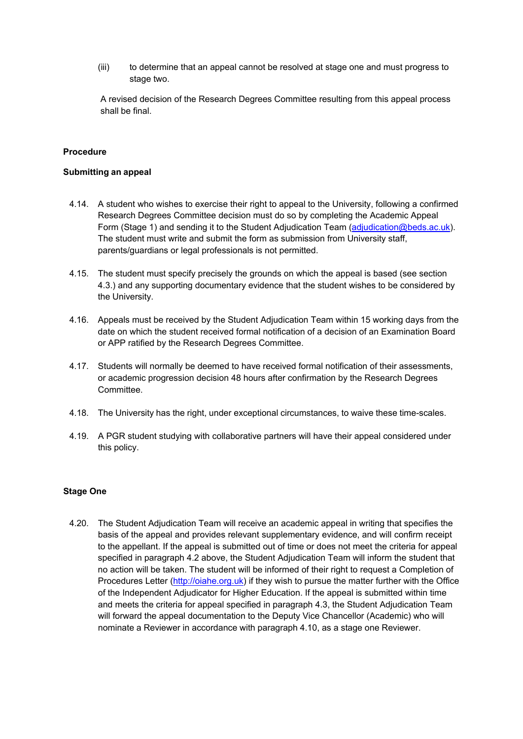(iii) to determine that an appeal cannot be resolved at stage one and must progress to stage two.

A revised decision of the Research Degrees Committee resulting from this appeal process shall be final.

#### **Procedure**

#### **Submitting an appeal**

- 4.14. A student who wishes to exercise their right to appeal to the University, following a confirmed Research Degrees Committee decision must do so by completing the Academic Appeal Form (Stage 1) and sending it to the Student Adjudication Team (adjudication@beds.ac.uk). The student must write and submit the form as submission from University staff, parents/guardians or legal professionals is not permitted.
- 4.15. The student must specify precisely the grounds on which the appeal is based (see section 4.3.) and any supporting documentary evidence that the student wishes to be considered by the University.
- 4.16. Appeals must be received by the Student Adjudication Team within 15 working days from the date on which the student received formal notification of a decision of an Examination Board or APP ratified by the Research Degrees Committee.
- 4.17. Students will normally be deemed to have received formal notification of their assessments, or academic progression decision 48 hours after confirmation by the Research Degrees Committee.
- 4.18. The University has the right, under exceptional circumstances, to waive these time-scales.
- 4.19. A PGR student studying with collaborative partners will have their appeal considered under this policy.

#### **Stage One**

4.20. The Student Adjudication Team will receive an academic appeal in writing that specifies the basis of the appeal and provides relevant supplementary evidence, and will confirm receipt to the appellant. If the appeal is submitted out of time or does not meet the criteria for appeal specified in paragraph 4.2 above, the Student Adjudication Team will inform the student that no action will be taken. The student will be informed of their right to request a Completion of Procedures Letter [\(http://oiahe.org.uk\)](http://oiahe.org.uk/making-a-complaint-to-the-oia/how-to-make-a-complaint.aspx) if they wish to pursue the matter further with the Office of the Independent Adjudicator for Higher Education. If the appeal is submitted within time and meets the criteria for appeal specified in paragraph 4.3, the Student Adjudication Team will forward the appeal documentation to the Deputy Vice Chancellor (Academic) who will nominate a Reviewer in accordance with paragraph 4.10, as a stage one Reviewer.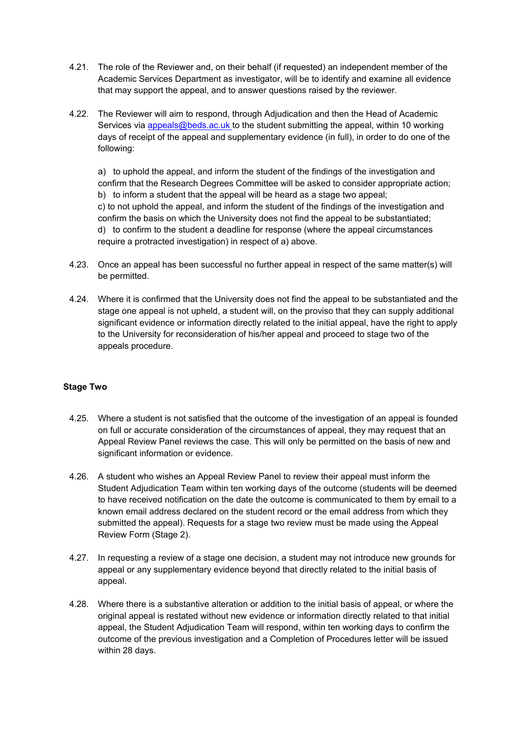- 4.21. The role of the Reviewer and, on their behalf (if requested) an independent member of the Academic Services Department as investigator, will be to identify and examine all evidence that may support the appeal, and to answer questions raised by the reviewer.
- 4.22. The Reviewer will aim to respond, through Adjudication and then the Head of Academic Services via [appeals@beds.ac.uk t](mailto:appeals@beds.ac.uk)o the student submitting the appeal, within 10 working days of receipt of the appeal and supplementary evidence (in full), in order to do one of the following:

a) to uphold the appeal, and inform the student of the findings of the investigation and confirm that the Research Degrees Committee will be asked to consider appropriate action; b) to inform a student that the appeal will be heard as a stage two appeal; c) to not uphold the appeal, and inform the student of the findings of the investigation and confirm the basis on which the University does not find the appeal to be substantiated; d) to confirm to the student a deadline for response (where the appeal circumstances require a protracted investigation) in respect of a) above.

- 4.23. Once an appeal has been successful no further appeal in respect of the same matter(s) will be permitted.
- 4.24. Where it is confirmed that the University does not find the appeal to be substantiated and the stage one appeal is not upheld, a student will, on the proviso that they can supply additional significant evidence or information directly related to the initial appeal, have the right to apply to the University for reconsideration of his/her appeal and proceed to stage two of the appeals procedure.

#### **Stage Two**

- 4.25. Where a student is not satisfied that the outcome of the investigation of an appeal is founded on full or accurate consideration of the circumstances of appeal, they may request that an Appeal Review Panel reviews the case. This will only be permitted on the basis of new and significant information or evidence.
- 4.26. A student who wishes an Appeal Review Panel to review their appeal must inform the Student Adjudication Team within ten working days of the outcome (students will be deemed to have received notification on the date the outcome is communicated to them by email to a known email address declared on the student record or the email address from which they submitted the appeal). Requests for a stage two review must be made using the Appeal Review Form (Stage 2).
- 4.27. In requesting a review of a stage one decision, a student may not introduce new grounds for appeal or any supplementary evidence beyond that directly related to the initial basis of appeal.
- 4.28. Where there is a substantive alteration or addition to the initial basis of appeal, or where the original appeal is restated without new evidence or information directly related to that initial appeal, the Student Adjudication Team will respond, within ten working days to confirm the outcome of the previous investigation and a Completion of Procedures letter will be issued within 28 days.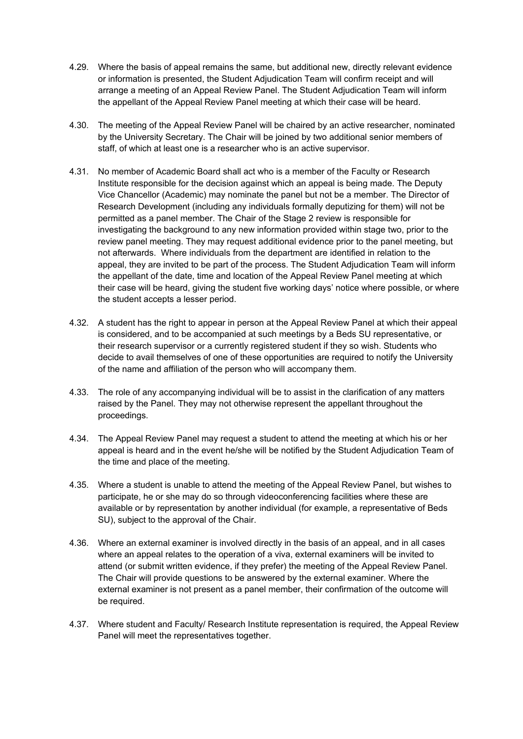- 4.29. Where the basis of appeal remains the same, but additional new, directly relevant evidence or information is presented, the Student Adjudication Team will confirm receipt and will arrange a meeting of an Appeal Review Panel. The Student Adjudication Team will inform the appellant of the Appeal Review Panel meeting at which their case will be heard.
- 4.30. The meeting of the Appeal Review Panel will be chaired by an active researcher, nominated by the University Secretary. The Chair will be joined by two additional senior members of staff, of which at least one is a researcher who is an active supervisor.
- 4.31. No member of Academic Board shall act who is a member of the Faculty or Research Institute responsible for the decision against which an appeal is being made. The Deputy Vice Chancellor (Academic) may nominate the panel but not be a member. The Director of Research Development (including any individuals formally deputizing for them) will not be permitted as a panel member. The Chair of the Stage 2 review is responsible for investigating the background to any new information provided within stage two, prior to the review panel meeting. They may request additional evidence prior to the panel meeting, but not afterwards. Where individuals from the department are identified in relation to the appeal, they are invited to be part of the process. The Student Adjudication Team will inform the appellant of the date, time and location of the Appeal Review Panel meeting at which their case will be heard, giving the student five working days' notice where possible, or where the student accepts a lesser period.
- 4.32. A student has the right to appear in person at the Appeal Review Panel at which their appeal is considered, and to be accompanied at such meetings by a Beds SU representative, or their research supervisor or a currently registered student if they so wish. Students who decide to avail themselves of one of these opportunities are required to notify the University of the name and affiliation of the person who will accompany them.
- 4.33. The role of any accompanying individual will be to assist in the clarification of any matters raised by the Panel. They may not otherwise represent the appellant throughout the proceedings.
- 4.34. The Appeal Review Panel may request a student to attend the meeting at which his or her appeal is heard and in the event he/she will be notified by the Student Adjudication Team of the time and place of the meeting.
- 4.35. Where a student is unable to attend the meeting of the Appeal Review Panel, but wishes to participate, he or she may do so through videoconferencing facilities where these are available or by representation by another individual (for example, a representative of Beds SU), subject to the approval of the Chair.
- 4.36. Where an external examiner is involved directly in the basis of an appeal, and in all cases where an appeal relates to the operation of a viva, external examiners will be invited to attend (or submit written evidence, if they prefer) the meeting of the Appeal Review Panel. The Chair will provide questions to be answered by the external examiner. Where the external examiner is not present as a panel member, their confirmation of the outcome will be required.
- 4.37. Where student and Faculty/ Research Institute representation is required, the Appeal Review Panel will meet the representatives together.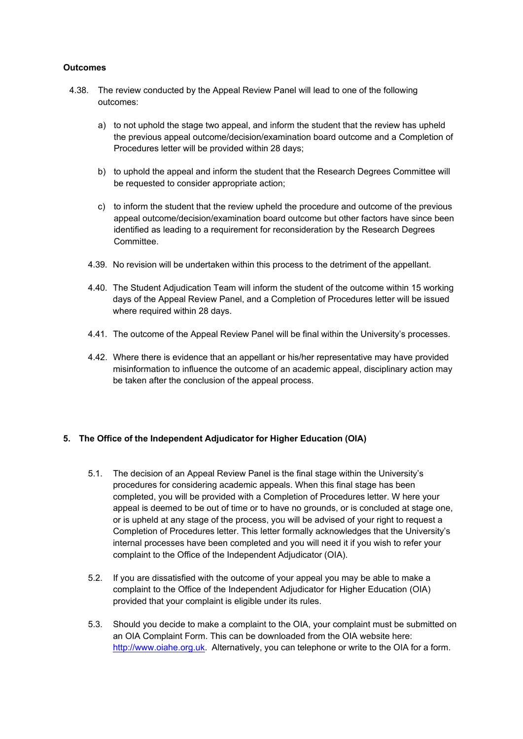#### **Outcomes**

- 4.38. The review conducted by the Appeal Review Panel will lead to one of the following outcomes:
	- a) to not uphold the stage two appeal, and inform the student that the review has upheld the previous appeal outcome/decision/examination board outcome and a Completion of Procedures letter will be provided within 28 days;
	- b) to uphold the appeal and inform the student that the Research Degrees Committee will be requested to consider appropriate action;
	- c) to inform the student that the review upheld the procedure and outcome of the previous appeal outcome/decision/examination board outcome but other factors have since been identified as leading to a requirement for reconsideration by the Research Degrees Committee.
	- 4.39. No revision will be undertaken within this process to the detriment of the appellant.
	- 4.40. The Student Adjudication Team will inform the student of the outcome within 15 working days of the Appeal Review Panel, and a Completion of Procedures letter will be issued where required within 28 days.
	- 4.41. The outcome of the Appeal Review Panel will be final within the University's processes.
	- 4.42. Where there is evidence that an appellant or his/her representative may have provided misinformation to influence the outcome of an academic appeal, disciplinary action may be taken after the conclusion of the appeal process.

#### **5. The Office of the Independent Adjudicator for Higher Education (OIA)**

- 5.1. The decision of an Appeal Review Panel is the final stage within the University's procedures for considering academic appeals. When this final stage has been completed, you will be provided with a Completion of Procedures letter. W here your appeal is deemed to be out of time or to have no grounds, or is concluded at stage one, or is upheld at any stage of the process, you will be advised of your right to request a Completion of Procedures letter. This letter formally acknowledges that the University's internal processes have been completed and you will need it if you wish to refer your complaint to the Office of the Independent Adjudicator (OIA).
- 5.2. If you are dissatisfied with the outcome of your appeal you may be able to make a complaint to the Office of the Independent Adjudicator for Higher Education (OIA) provided that your complaint is eligible under its rules.
- 5.3. Should you decide to make a complaint to the OIA, your complaint must be submitted on an OIA Complaint Form. This can be downloaded from the OIA website here: [http://www.oiahe.org.uk.](http://www.oiahe.org.uk/) Alternatively, you can telephone or write to the OIA for a form.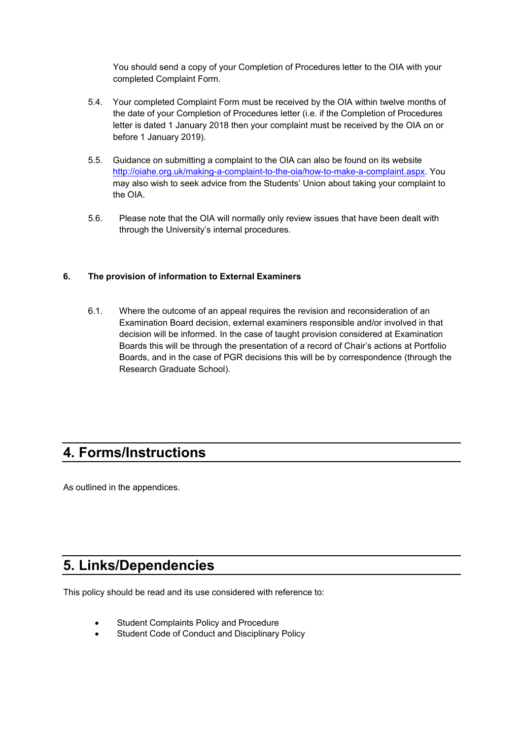You should send a copy of your Completion of Procedures letter to the OIA with your completed Complaint Form.

- 5.4. Your completed Complaint Form must be received by the OIA within twelve months of the date of your Completion of Procedures letter (i.e. if the Completion of Procedures letter is dated 1 January 2018 then your complaint must be received by the OIA on or before 1 January 2019).
- 5.5. Guidance on submitting a complaint to the OIA can also be found on its website [http://oiahe.org.uk/making-a-complaint-to-the-oia/how-to-make-a-complaint.aspx.](http://oiahe.org.uk/making-a-complaint-to-the-oia/how-to-make-a-complaint.aspx) You may also wish to seek advice from the Students' Union about taking your complaint to the OIA.
- 5.6. Please note that the OIA will normally only review issues that have been dealt with through the University's internal procedures.

#### **6. The provision of information to External Examiners**

6.1. Where the outcome of an appeal requires the revision and reconsideration of an Examination Board decision, external examiners responsible and/or involved in that decision will be informed. In the case of taught provision considered at Examination Boards this will be through the presentation of a record of Chair's actions at Portfolio Boards, and in the case of PGR decisions this will be by correspondence (through the Research Graduate School).

## <span id="page-18-0"></span>**4. Forms/Instructions**

As outlined in the appendices.

## <span id="page-18-1"></span>**5. Links/Dependencies**

This policy should be read and its use considered with reference to:

- Student Complaints Policy and Procedure
- Student Code of Conduct and Disciplinary Policy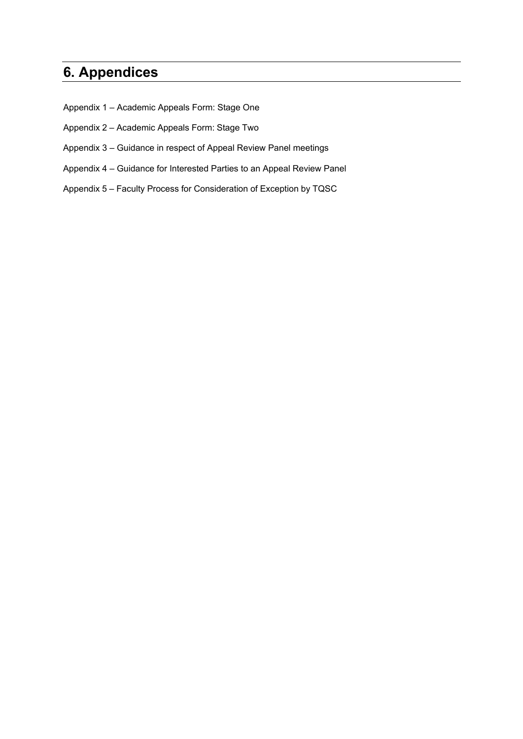# <span id="page-19-0"></span>**6. Appendices**

- Appendix 1 Academic Appeals Form: Stage One
- Appendix 2 Academic Appeals Form: Stage Two
- Appendix 3 Guidance in respect of Appeal Review Panel meetings
- Appendix 4 Guidance for Interested Parties to an Appeal Review Panel
- Appendix 5 Faculty Process for Consideration of Exception by TQSC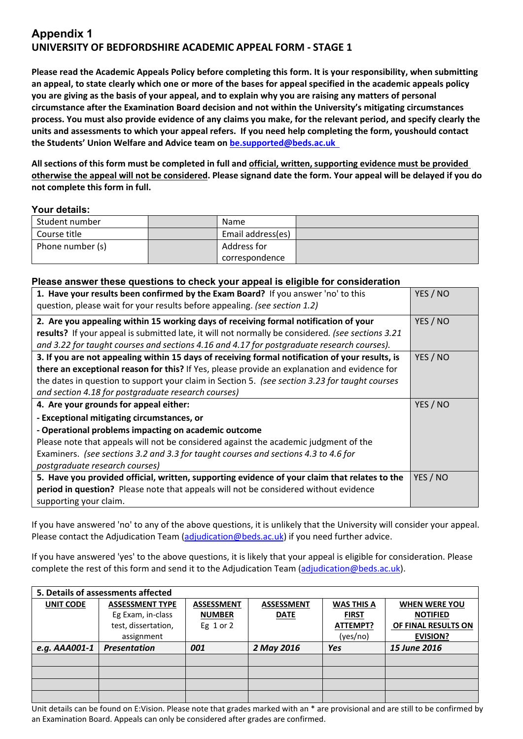## **Appendix 1 UNIVERSITY OF BEDFORDSHIRE ACADEMIC APPEAL FORM - STAGE 1**

**Please read the Academic Appeals Policy before completing this form. It is your responsibility, when submitting an appeal, to state clearly which one or more of the bases for appeal specified in the academic appeals policy you are giving as the basis of your appeal, and to explain why you are raising any matters of personal circumstance after the Examination Board decision and not within the University's mitigating circumstances process. You must also provide evidence of any claims you make, for the relevant period, and specify clearly the units and assessments to which your appeal refers. If you need help completing the form, youshould contact the Students' Union Welfare and Advice team on [be.supported@beds.ac.uk](mailto:be.supported@beds.ac.uk)** 

**All sections of this form must be completed in full and official, written, supporting evidence must be provided otherwise the appeal will not be considered. Please signand date the form. Your appeal will be delayed if you do not complete this form in full.**

#### **Your details:**

| Student number   | Name              |  |
|------------------|-------------------|--|
| Course title     | Email address(es) |  |
| Phone number (s) | Address for       |  |
|                  | correspondence    |  |

#### **Please answer these questions to check your appeal is eligible for consideration**

| 1. Have your results been confirmed by the Exam Board? If you answer 'no' to this<br>question, please wait for your results before appealing. (see section 1.2) | YES / NO |
|-----------------------------------------------------------------------------------------------------------------------------------------------------------------|----------|
| 2. Are you appealing within 15 working days of receiving formal notification of your                                                                            | YES / NO |
| results? If your appeal is submitted late, it will not normally be considered. (see sections 3.21                                                               |          |
| and 3.22 for taught courses and sections 4.16 and 4.17 for postgraduate research courses).                                                                      |          |
| 3. If you are not appealing within 15 days of receiving formal notification of your results, is                                                                 | YES / NO |
| there an exceptional reason for this? If Yes, please provide an explanation and evidence for                                                                    |          |
| the dates in question to support your claim in Section 5. (see section 3.23 for taught courses                                                                  |          |
| and section 4.18 for postgraduate research courses)                                                                                                             |          |
| 4. Are your grounds for appeal either:                                                                                                                          | YES / NO |
| - Exceptional mitigating circumstances, or                                                                                                                      |          |
| - Operational problems impacting on academic outcome                                                                                                            |          |
| Please note that appeals will not be considered against the academic judgment of the                                                                            |          |
| Examiners. (see sections 3.2 and 3.3 for taught courses and sections 4.3 to 4.6 for                                                                             |          |
| postgraduate research courses)                                                                                                                                  |          |
| 5. Have you provided official, written, supporting evidence of your claim that relates to the                                                                   | YES / NO |
| period in question? Please note that appeals will not be considered without evidence                                                                            |          |
| supporting your claim.                                                                                                                                          |          |

If you have answered 'no' to any of the above questions, it is unlikely that the University will consider your appeal. Please contact the Adjudication Team [\(adjudication@beds.ac.uk\)](mailto:adjudication@beds.ac.uk) if you need further advice.

If you have answered 'yes' to the above questions, it is likely that your appeal is eligible for consideration. Please complete the rest of this form and send it to the Adjudication Team [\(adjudication@beds.ac.uk\)](mailto:adjudication@beds.ac.uk).

| 5. Details of assessments affected |                        |                   |                   |                   |                      |
|------------------------------------|------------------------|-------------------|-------------------|-------------------|----------------------|
| <b>UNIT CODE</b>                   | <b>ASSESSMENT TYPE</b> | <b>ASSESSMENT</b> | <b>ASSESSMENT</b> | <b>WAS THIS A</b> | <b>WHEN WERE YOU</b> |
|                                    | Eg Exam, in-class      | <b>NUMBER</b>     | <b>DATE</b>       | <b>FIRST</b>      | <b>NOTIFIED</b>      |
|                                    | test, dissertation,    | Eg $1$ or $2$     |                   | ATTEMPT?          | OF FINAL RESULTS ON  |
|                                    | assignment             |                   |                   | (yes/no)          | <b>EVISION?</b>      |
| e.g. AAA001-1                      | <b>Presentation</b>    | 001               | 2 May 2016        | <b>Yes</b>        | 15 June 2016         |
|                                    |                        |                   |                   |                   |                      |
|                                    |                        |                   |                   |                   |                      |
|                                    |                        |                   |                   |                   |                      |
|                                    |                        |                   |                   |                   |                      |

Unit details can be found on E:Vision. Please note that grades marked with an \* are provisional and are still to be confirmed by an Examination Board. Appeals can only be considered after grades are confirmed.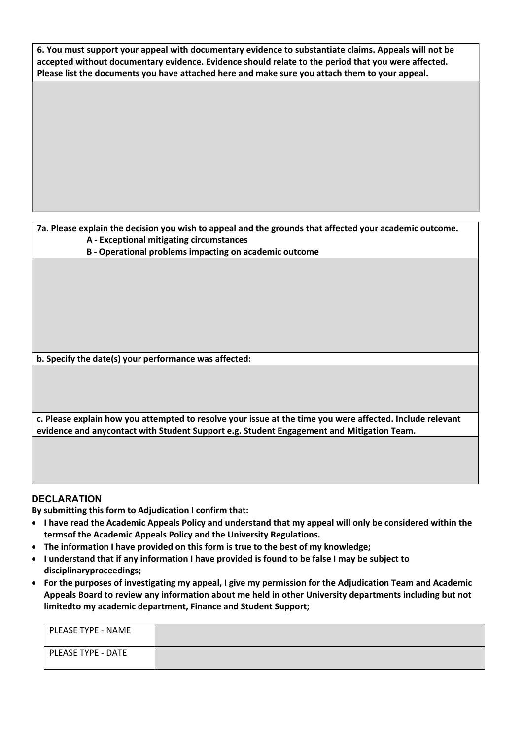**6. You must support your appeal with documentary evidence to substantiate claims. Appeals will not be accepted without documentary evidence. Evidence should relate to the period that you were affected. Please list the documents you have attached here and make sure you attach them to your appeal.**

#### **7a. Please explain the decision you wish to appeal and the grounds that affected your academic outcome. A - Exceptional mitigating circumstances**

**B - Operational problems impacting on academic outcome**

**b. Specify the date(s) your performance was affected:**

**c. Please explain how you attempted to resolve your issue at the time you were affected. Include relevant evidence and anycontact with Student Support e.g. Student Engagement and Mitigation Team.**

#### **DECLARATION**

**By submitting this form to Adjudication I confirm that:**

- **I have read the Academic Appeals Policy and understand that my appeal will only be considered within the termsof the Academic Appeals Policy and the University Regulations.**
- **The information I have provided on this form is true to the best of my knowledge;**
- **I understand that if any information I have provided is found to be false I may be subject to disciplinaryproceedings;**
- **For the purposes of investigating my appeal, I give my permission for the Adjudication Team and Academic Appeals Board to review any information about me held in other University departments including but not limitedto my academic department, Finance and Student Support;**

| PLEASE TYPE - NAME |  |
|--------------------|--|
| PLEASE TYPE - DATE |  |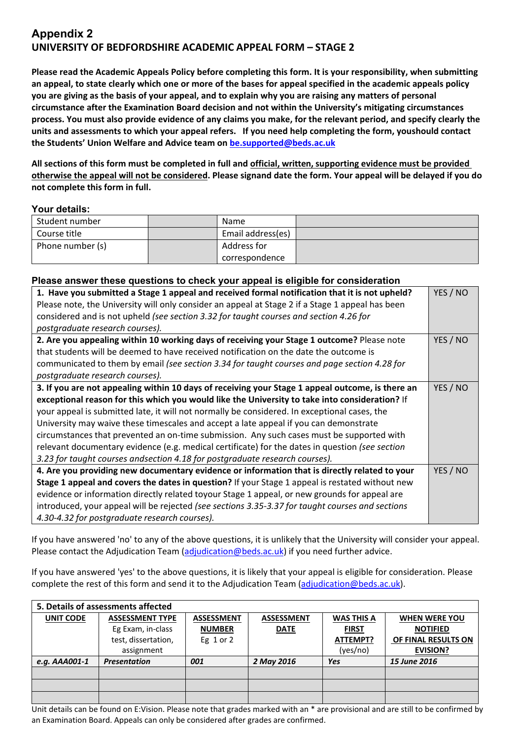## **Appendix 2 UNIVERSITY OF BEDFORDSHIRE ACADEMIC APPEAL FORM – STAGE 2**

**Please read the Academic Appeals Policy before completing this form. It is your responsibility, when submitting an appeal, to state clearly which one or more of the bases for appeal specified in the academic appeals policy you are giving as the basis of your appeal, and to explain why you are raising any matters of personal circumstance after the Examination Board decision and not within the University's mitigating circumstances process. You must also provide evidence of any claims you make, for the relevant period, and specify clearly the units and assessments to which your appeal refers. If you need help completing the form, youshould contact the Students' Union Welfare and Advice team on [be.supported@beds.ac.uk](mailto:be.supported@beds.ac.uk)**

**All sections of this form must be completed in full and official, written, supporting evidence must be provided otherwise the appeal will not be considered. Please signand date the form. Your appeal will be delayed if you do not complete this form in full.**

#### **Your details:**

| Student number   | Name              |  |
|------------------|-------------------|--|
| Course title     | Email address(es) |  |
| Phone number (s) | Address for       |  |
|                  | correspondence    |  |

#### **Please answer these questions to check your appeal is eligible for consideration**

| 1. Have you submitted a Stage 1 appeal and received formal notification that it is not upheld?   | YES / NO |
|--------------------------------------------------------------------------------------------------|----------|
| Please note, the University will only consider an appeal at Stage 2 if a Stage 1 appeal has been |          |
| considered and is not upheld (see section 3.32 for taught courses and section 4.26 for           |          |
| postgraduate research courses).                                                                  |          |
| 2. Are you appealing within 10 working days of receiving your Stage 1 outcome? Please note       | YES / NO |
| that students will be deemed to have received notification on the date the outcome is            |          |
| communicated to them by email (see section 3.34 for taught courses and page section 4.28 for     |          |
| postgraduate research courses).                                                                  |          |
| 3. If you are not appealing within 10 days of receiving your Stage 1 appeal outcome, is there an | YES / NO |
| exceptional reason for this which you would like the University to take into consideration? If   |          |
| your appeal is submitted late, it will not normally be considered. In exceptional cases, the     |          |
| University may waive these timescales and accept a late appeal if you can demonstrate            |          |
| circumstances that prevented an on-time submission. Any such cases must be supported with        |          |
| relevant documentary evidence (e.g. medical certificate) for the dates in question (see section  |          |
| 3.23 for taught courses andsection 4.18 for postgraduate research courses).                      |          |
| 4. Are you providing new documentary evidence or information that is directly related to your    | YES / NO |
| Stage 1 appeal and covers the dates in question? If your Stage 1 appeal is restated without new  |          |
| evidence or information directly related toyour Stage 1 appeal, or new grounds for appeal are    |          |
| introduced, your appeal will be rejected (see sections 3.35-3.37 for taught courses and sections |          |
| 4.30-4.32 for postgraduate research courses).                                                    |          |

If you have answered 'no' to any of the above questions, it is unlikely that the University will consider your appeal. Please contact the Adjudication Team [\(adjudication@beds.ac.uk\)](mailto:adjudication@beds.ac.uk) if you need further advice.

If you have answered 'yes' to the above questions, it is likely that your appeal is eligible for consideration. Please complete the rest of this form and send it to the Adjudication Team [\(adjudication@beds.ac.uk\)](mailto:adjudication@beds.ac.uk).

| 5. Details of assessments affected |                        |                   |                   |                   |                      |
|------------------------------------|------------------------|-------------------|-------------------|-------------------|----------------------|
| <b>UNIT CODE</b>                   | <b>ASSESSMENT TYPE</b> | <b>ASSESSMENT</b> | <b>ASSESSMENT</b> | <b>WAS THIS A</b> | <b>WHEN WERE YOU</b> |
|                                    | Eg Exam, in-class      | <b>NUMBER</b>     | <b>DATE</b>       | <b>FIRST</b>      | <b>NOTIFIED</b>      |
|                                    | test, dissertation,    | Eg $1$ or $2$     |                   | ATTEMPT?          | OF FINAL RESULTS ON  |
|                                    | assignment             |                   |                   | (yes/no)          | <b>EVISION?</b>      |
| e.g. AAA001-1                      | <b>Presentation</b>    | 001               | 2 May 2016        | Yes               | 15 June 2016         |
|                                    |                        |                   |                   |                   |                      |
|                                    |                        |                   |                   |                   |                      |
|                                    |                        |                   |                   |                   |                      |

Unit details can be found on E:Vision. Please note that grades marked with an \* are provisional and are still to be confirmed by an Examination Board. Appeals can only be considered after grades are confirmed.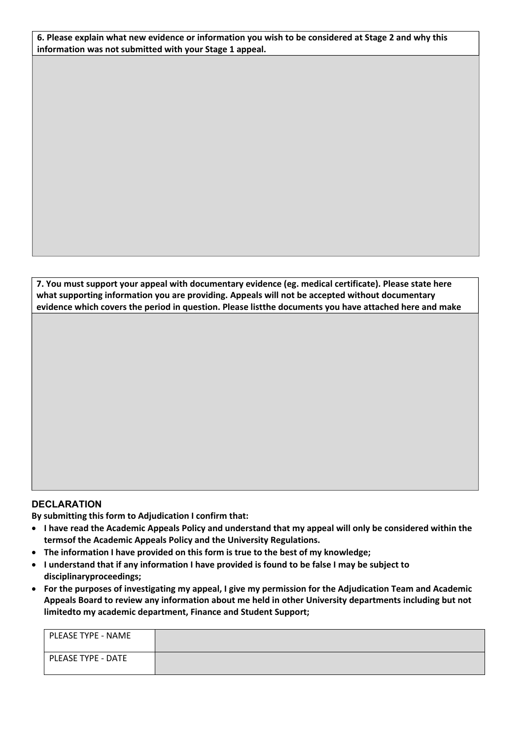**6. Please explain what new evidence or information you wish to be considered at Stage 2 and why this information was not submitted with your Stage 1 appeal.**

**7. You must support your appeal with documentary evidence (eg. medical certificate). Please state here what supporting information you are providing. Appeals will not be accepted without documentary evidence which covers the period in question. Please listthe documents you have attached here and make**

### **DECLARATION**

**By submitting this form to Adjudication I confirm that:**

- **I have read the Academic Appeals Policy and understand that my appeal will only be considered within the termsof the Academic Appeals Policy and the University Regulations.**
- **The information I have provided on this form is true to the best of my knowledge;**
- **I understand that if any information I have provided is found to be false I may be subject to disciplinary proceedings;**
- **For the purposes of investigating my appeal, I give my permission for the Adjudication Team and Academic Appeals Board to review any information about me held in other University departments including but not limited to my academic department, Finance and Student Support;**

| PLEASE TYPE - NAME |  |
|--------------------|--|
| PLEASE TYPE - DATE |  |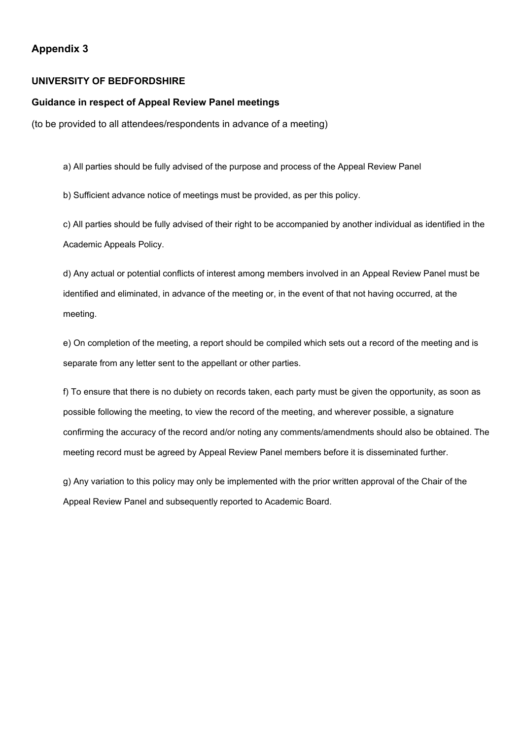### **Appendix 3**

#### **UNIVERSITY OF BEDFORDSHIRE**

#### **Guidance in respect of Appeal Review Panel meetings**

(to be provided to all attendees/respondents in advance of a meeting)

a) All parties should be fully advised of the purpose and process of the Appeal Review Panel

b) Sufficient advance notice of meetings must be provided, as per this policy.

c) All parties should be fully advised of their right to be accompanied by another individual as identified in the Academic Appeals Policy.

d) Any actual or potential conflicts of interest among members involved in an Appeal Review Panel must be identified and eliminated, in advance of the meeting or, in the event of that not having occurred, at the meeting.

e) On completion of the meeting, a report should be compiled which sets out a record of the meeting and is separate from any letter sent to the appellant or other parties.

f) To ensure that there is no dubiety on records taken, each party must be given the opportunity, as soon as possible following the meeting, to view the record of the meeting, and wherever possible, a signature confirming the accuracy of the record and/or noting any comments/amendments should also be obtained. The meeting record must be agreed by Appeal Review Panel members before it is disseminated further.

g) Any variation to this policy may only be implemented with the prior written approval of the Chair of the Appeal Review Panel and subsequently reported to Academic Board.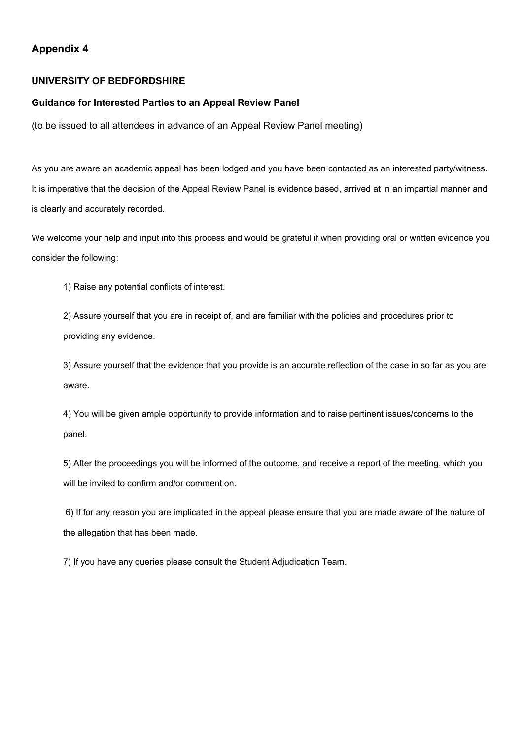### **Appendix 4**

#### **UNIVERSITY OF BEDFORDSHIRE**

#### **Guidance for Interested Parties to an Appeal Review Panel**

(to be issued to all attendees in advance of an Appeal Review Panel meeting)

As you are aware an academic appeal has been lodged and you have been contacted as an interested party/witness. It is imperative that the decision of the Appeal Review Panel is evidence based, arrived at in an impartial manner and is clearly and accurately recorded.

We welcome your help and input into this process and would be grateful if when providing oral or written evidence you consider the following:

1) Raise any potential conflicts of interest.

2) Assure yourself that you are in receipt of, and are familiar with the policies and procedures prior to providing any evidence.

3) Assure yourself that the evidence that you provide is an accurate reflection of the case in so far as you are aware.

4) You will be given ample opportunity to provide information and to raise pertinent issues/concerns to the panel.

5) After the proceedings you will be informed of the outcome, and receive a report of the meeting, which you will be invited to confirm and/or comment on.

6) If for any reason you are implicated in the appeal please ensure that you are made aware of the nature of the allegation that has been made.

7) If you have any queries please consult the Student Adjudication Team.